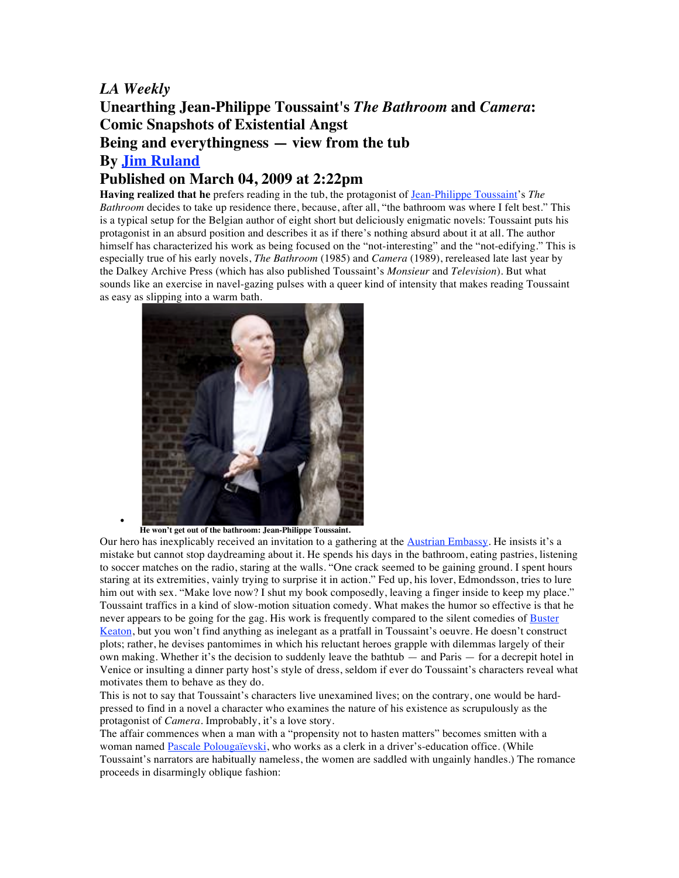## *LA Weekly*

## **Unearthing Jean-Philippe Toussaint's** *The Bathroom* **and** *Camera***: Comic Snapshots of Existential Angst Being and everythingness — view from the tub By Jim Ruland Published on March 04, 2009 at 2:22pm**

**Having realized that he** prefers reading in the tub, the protagonist of Jean-Philippe Toussaint's *The Bathroom* decides to take up residence there, because, after all, "the bathroom was where I felt best." This is a typical setup for the Belgian author of eight short but deliciously enigmatic novels: Toussaint puts his protagonist in an absurd position and describes it as if there's nothing absurd about it at all. The author himself has characterized his work as being focused on the "not-interesting" and the "not-edifying." This is especially true of his early novels, *The Bathroom* (1985) and *Camera* (1989), rereleased late last year by the Dalkey Archive Press (which has also published Toussaint's *Monsieur* and *Television*). But what sounds like an exercise in navel-gazing pulses with a queer kind of intensity that makes reading Toussaint as easy as slipping into a warm bath.



• **He won't get out of the bathroom: Jean-Philippe Toussaint.**

Our hero has inexplicably received an invitation to a gathering at the Austrian Embassy. He insists it's a mistake but cannot stop daydreaming about it. He spends his days in the bathroom, eating pastries, listening to soccer matches on the radio, staring at the walls. "One crack seemed to be gaining ground. I spent hours staring at its extremities, vainly trying to surprise it in action." Fed up, his lover, Edmondsson, tries to lure him out with sex. "Make love now? I shut my book composedly, leaving a finger inside to keep my place." Toussaint traffics in a kind of slow-motion situation comedy. What makes the humor so effective is that he never appears to be going for the gag. His work is frequently compared to the silent comedies of Buster Keaton, but you won't find anything as inelegant as a pratfall in Toussaint's oeuvre. He doesn't construct plots; rather, he devises pantomimes in which his reluctant heroes grapple with dilemmas largely of their own making. Whether it's the decision to suddenly leave the bathtub — and Paris — for a decrepit hotel in Venice or insulting a dinner party host's style of dress, seldom if ever do Toussaint's characters reveal what motivates them to behave as they do.

This is not to say that Toussaint's characters live unexamined lives; on the contrary, one would be hardpressed to find in a novel a character who examines the nature of his existence as scrupulously as the protagonist of *Camera*. Improbably, it's a love story.

The affair commences when a man with a "propensity not to hasten matters" becomes smitten with a woman named Pascale Polougaïevski, who works as a clerk in a driver's-education office. (While Toussaint's narrators are habitually nameless, the women are saddled with ungainly handles.) The romance proceeds in disarmingly oblique fashion: